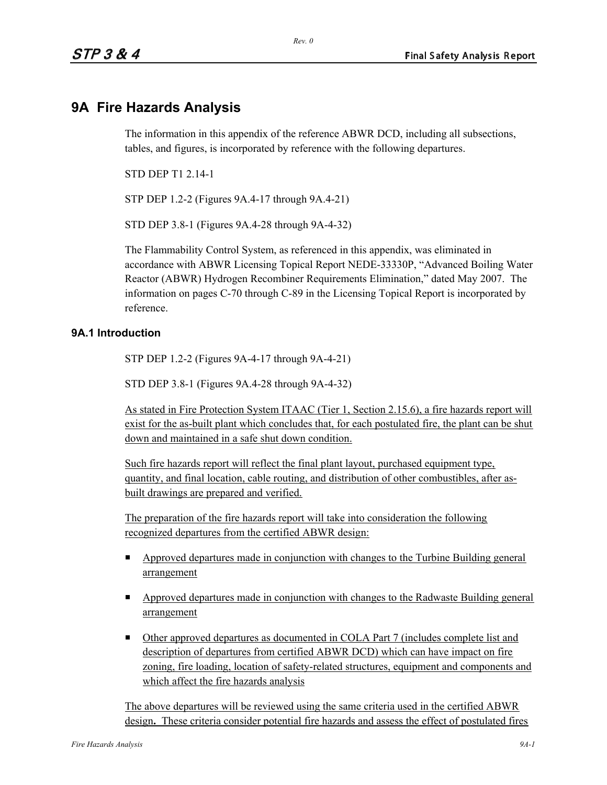## **9A Fire Hazards Analysis**

The information in this appendix of the reference ABWR DCD, including all subsections, tables, and figures, is incorporated by reference with the following departures.

STD DEP T1 2.14-1

STP DEP 1.2-2 (Figures 9A.4-17 through 9A.4-21)

STD DEP 3.8-1 (Figures 9A.4-28 through 9A-4-32)

The Flammability Control System, as referenced in this appendix, was eliminated in accordance with ABWR Licensing Topical Report NEDE-33330P, "Advanced Boiling Water Reactor (ABWR) Hydrogen Recombiner Requirements Elimination," dated May 2007. The information on pages C-70 through C-89 in the Licensing Topical Report is incorporated by reference.

## **9A.1 Introduction**

STP DEP 1.2-2 (Figures 9A-4-17 through 9A-4-21)

STD DEP 3.8-1 (Figures 9A.4-28 through 9A-4-32)

As stated in Fire Protection System ITAAC (Tier 1, Section 2.15.6), a fire hazards report will exist for the as-built plant which concludes that, for each postulated fire, the plant can be shut down and maintained in a safe shut down condition.

Such fire hazards report will reflect the final plant layout, purchased equipment type, quantity, and final location, cable routing, and distribution of other combustibles, after asbuilt drawings are prepared and verified.

The preparation of the fire hazards report will take into consideration the following recognized departures from the certified ABWR design:

- $\blacksquare$ Approved departures made in conjunction with changes to the Turbine Building general arrangement
- **Example 3** Approved departures made in conjunction with changes to the Radwaste Building general arrangement
- Other approved departures as documented in COLA Part 7 (includes complete list and description of departures from certified ABWR DCD) which can have impact on fire zoning, fire loading, location of safety-related structures, equipment and components and which affect the fire hazards analysis

The above departures will be reviewed using the same criteria used in the certified ABWR design**.** These criteria consider potential fire hazards and assess the effect of postulated fires